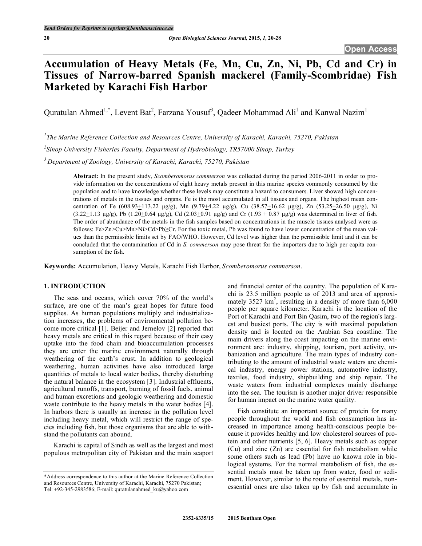# **Accumulation of Heavy Metals (Fe, Mn, Cu, Zn, Ni, Pb, Cd and Cr) in Tissues of Narrow-barred Spanish mackerel (Family-Scombridae) Fish Marketed by Karachi Fish Harbor**

Quratulan Ahmed<sup>1,\*</sup>, Levent Bat<sup>2</sup>, Farzana Yousuf<sup>3</sup>, Qadeer Mohammad Ali<sup>1</sup> and Kanwal Nazim<sup>1</sup>

*1 The Marine Reference Collection and Resources Centre, University of Karachi, Karachi, 75270, Pakistan*

*2 Sinop University Fisheries Faculty, Department of Hydrobiology, TR57000 Sinop, Turkey*

*3 Department of Zoology, University of Karachi, Karachi, 75270, Pakistan*

**Abstract:** In the present study, *Scomberomorus commerson* was collected during the period 2006-2011 in order to provide information on the concentrations of eight heavy metals present in this marine species commonly consumed by the population and to have knowledge whether these levels may constitute a hazard to consumers. Liver showed high concentrations of metals in the tissues and organs. Fe is the most accumulated in all tissues and organs. The highest mean concentration of Fe (608.93+113.22 µg/g), Mn (9.79+4.22 µg/g), Cu (38.57+16.62 µg/g), Zn (53.25+26.50 µg/g), Ni  $(3.22 \pm 1.13 \,\mu\text{g/g})$ , Pb  $(1.20 \pm 0.64 \,\mu\text{g/g})$ , Cd  $(2.03 \pm 0.91 \,\mu\text{g/g})$  and Cr  $(1.93 + 0.87 \,\mu\text{g/g})$  was determined in liver of fish. The order of abundance of the metals in the fish samples based on concentrations in the muscle tissues analysed were as follows: Fe>Zn>Cu>Mn>Ni>Cd>Pb≥Cr. For the toxic metal, Pb was found to have lower concentration of the mean values than the permissible limits set by FAO/WHO. However, Cd level was higher than the permissible limit and it can be concluded that the contamination of Cd in *S. commerson* may pose threat for the importers due to high per capita consumption of the fish.

**Keywords:** Accumulation, Heavy Metals, Karachi Fish Harbor, *Scomberomorus commerson*.

# **1. INTRODUCTION**

The seas and oceans, which cover 70% of the world's surface, are one of the man's great hopes for future food supplies. As human populations multiply and industrialization increases, the problems of environmental pollution become more critical [1]. Beijer and Jernelov [2] reported that heavy metals are critical in this regard because of their easy uptake into the food chain and bioaccumulation processes they are enter the marine environment naturally through weathering of the earth's crust. In addition to geological weathering, human activities have also introduced large quantities of metals to local water bodies, thereby disturbing the natural balance in the ecosystem [3]. Industrial effluents, agricultural runoffs, transport, burning of fossil fuels, animal and human excretions and geologic weathering and domestic waste contribute to the heavy metals in the water bodies [4]. In harbors there is usually an increase in the pollution level including heavy metal, which will restrict the range of species including fish, but those organisms that are able to withstand the pollutants can abound.

Karachi is capital of Sindh as well as the largest and most populous metropolitan city of Pakistan and the main seaport

and financial center of the country. The population of Karachi is 23.5 million people as of 2013 and area of approximately  $3527 \text{ km}^2$ , resulting in a density of more than  $6,000$ people per square kilometer. Karachi is the location of the Port of Karachi and Port Bin Qasim, two of the region's largest and busiest ports. The city is with maximal population density and is located on the Arabian Sea coastline. The main drivers along the coast impacting on the marine environment are: industry, shipping, tourism, port activity, urbanization and agriculture. The main types of industry contributing to the amount of industrial waste waters are chemical industry, energy power stations, automotive industry, textiles, food industry, shipbuilding and ship repair. The waste waters from industrial complexes mainly discharge into the sea. The tourism is another major driver responsible for human impact on the marine water quality.

Fish constitute an important source of protein for many people throughout the world and fish consumption has increased in importance among health-conscious people because it provides healthy and low cholesterol sources of protein and other nutrients [5, 6]. Heavy metals such as copper (Cu) and zinc (Zn) are essential for fish metabolism while some others such as lead (Pb) have no known role in biological systems. For the normal metabolism of fish, the essential metals must be taken up from water, food or sediment. However, similar to the route of essential metals, nonessential ones are also taken up by fish and accumulate in

<sup>\*</sup>Address correspondence to this author at the Marine Reference Collection and Resources Centre, University of Karachi, Karachi, 75270 Pakistan; Tel: +92-345-2983586; E-mail: quratulanahmed\_ku@yahoo.com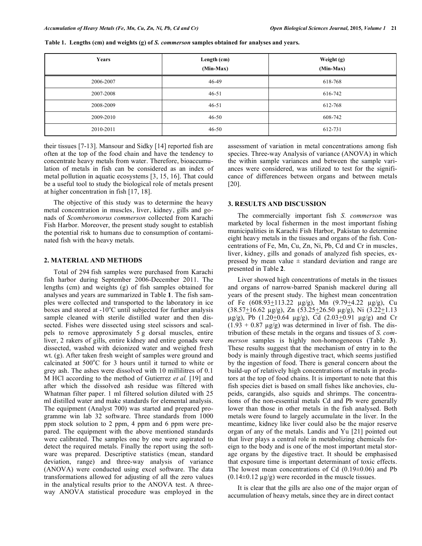**Table 1. Lengths (cm) and weights (g) of** *S. commerson* **samples obtained for analyses and years.**

| Years     | Length (cm)<br>(Min-Max) | Weight (g)<br>(Min-Max) |
|-----------|--------------------------|-------------------------|
| 2006-2007 | 46-49                    | 618-768                 |
| 2007-2008 | $46 - 51$                | 616-742                 |
| 2008-2009 | $46 - 51$                | 612-768                 |
| 2009-2010 | $46 - 50$                | 608-742                 |
| 2010-2011 | $46 - 50$                | 612-731                 |

their tissues [7-13]. Mansour and Sidky [14] reported fish are often at the top of the food chain and have the tendency to concentrate heavy metals from water. Therefore, bioaccumulation of metals in fish can be considered as an index of metal pollution in aquatic ecosystems [3, 15, 16]. That could be a useful tool to study the biological role of metals present at higher concentration in fish [17, 18].

The objective of this study was to determine the heavy metal concentration in muscles, liver, kidney, gills and gonads of *Scomberomorus commerson* collected from Karachi Fish Harbor. Moreover, the present study sought to establish the potential risk to humans due to consumption of contaminated fish with the heavy metals.

## **2. MATERIAL AND METHODS**

Total of 294 fish samples were purchased from Karachi fish harbor during September 2006-December 2011. The lengths (cm) and weights (g) of fish samples obtained for analyses and years are summarized in Table **1**. The fish samples were collected and transported to the laboratory in ice boxes and stored at  $-10^{\circ}$ C until subjected for further analysis sample cleaned with sterile distilled water and then dissected. Fishes were dissected using steel scissors and scalpels to remove approximately 5 g dorsal muscles, entire liver, 2 rakers of gills, entire kidney and entire gonads were dissected, washed with deionized water and weighed fresh wt. (g). After taken fresh weight of samples were ground and calcinated at 500°C for 3 hours until it turned to white or grey ash. The ashes were dissolved with 10 millilitres of 0.1 M HCl according to the method of Gutierrez *et al.* [19] and after which the dissolved ash residue was filtered with Whatman filter paper. 1 ml filtered solution diluted with 25 ml distilled water and make standards for elemental analysis. The equipment (Analyst 700) was started and prepared programme win lab 32 software. Three standards from 1000 ppm stock solution to 2 ppm, 4 ppm and 6 ppm were prepared. The equipment with the above mentioned standards were calibrated. The samples one by one were aspirated to detect the required metals. Finally the report using the software was prepared. Descriptive statistics (mean, standard deviation, range) and three-way analysis of variance (ANOVA) were conducted using excel software. The data transformations allowed for adjusting of all the zero values in the analytical results prior to the ANOVA test. A threeway ANOVA statistical procedure was employed in the

assessment of variation in metal concentrations among fish species. Three-way Analysis of variance (ANOVA) in which the within sample variances and between the sample variances were considered, was utilized to test for the significance of differences between organs and between metals [20].

# **3. RESULTS AND DISCUSSION**

The commercially important fish *S. commerson* was marketed by local fishermen in the most important fishing municipalities in Karachi Fish Harbor, Pakistan to determine eight heavy metals in the tissues and organs of the fish. Concentrations of Fe, Mn, Cu, Zn, Ni, Pb, Cd and Cr in muscles, liver, kidney, gills and gonads of analyzed fish species, expressed by mean value  $\pm$  standard deviation and range are presented in Table **2**.

Liver showed high concentrations of metals in the tissues and organs of narrow-barred Spanish mackerel during all years of the present study. The highest mean concentration of Fe  $(608.93 \pm 113.22 \text{ }\mu\text{g/g})$ , Mn  $(9.79 \pm 4.22 \text{ }\mu\text{g/g})$ , Cu  $(38.57 \pm 16.62 \text{ µg/g})$ , Zn  $(53.25 \pm 26.50 \text{ µg/g})$ , Ni  $(3.22 \pm 1.13 \text{ m})$  $\mu$ g/g), Pb (1.20+0.64  $\mu$ g/g), Cd (2.03+0.91  $\mu$ g/g) and Cr  $(1.93 + 0.87 \text{ µg/g})$  was determined in liver of fish. The distribution of these metals in the organs and tissues of *S. commerson* samples is highly non-homogeneous (Table **3**). These results suggest that the mechanism of entry in to the body is mainly through digestive tract, which seems justified by the ingestion of food. There is general concern about the build-up of relatively high concentrations of metals in predators at the top of food chains. It is important to note that this fish species diet is based on small fishes like anchovies, clupeids, carangids, also squids and shrimps. The concentrations of the non-essential metals Cd and Pb were generally lower than those in other metals in the fish analysed. Both metals were found to largely accumulate in the liver. In the meantime, kidney like liver could also be the major reserve organ of any of the metals. Landis and Yu [21] pointed out that liver plays a central role in metabolizing chemicals foreign to the body and is one of the most important metal storage organs by the digestive tract. It should be emphasised that exposure time is important determinant of toxic effects. The lowest mean concentrations of Cd  $(0.19\pm0.06)$  and Pb  $(0.14\pm0.12 \text{ µg/g})$  were recorded in the muscle tissues.

It is clear that the gills are also one of the major organ of accumulation of heavy metals, since they are in direct contact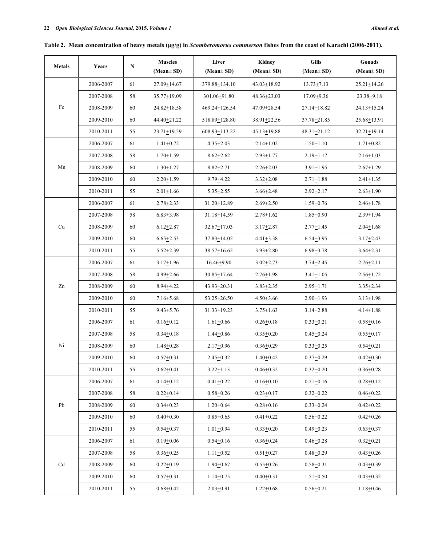|               |           |    | <b>Muscles</b><br>Liver<br>Kidney |                   | <b>Gills</b>      | Gonads            |                   |
|---------------|-----------|----|-----------------------------------|-------------------|-------------------|-------------------|-------------------|
| <b>Metals</b> | Years     | N  | $(Mean \pm SD)$                   | $(Mean \pm SD)$   | $(Mean \pm SD)$   | $(Mean \pm SD)$   | $(Mean \pm SD)$   |
|               | 2006-2007 | 61 | $27.09 \pm 14.67$                 | 379.88 ± 134.10   | $43.03 \pm 18.92$ | $13.73 + 7.13$    | $25.21 \pm 14.26$ |
|               | 2007-2008 | 58 | $35.77 + 19.09$                   | 301.06+91.80      | $48.36 + 23.03$   | $17.09 + 9.36$    | $23.38 + 9.18$    |
| Fe            | 2008-2009 | 60 | $24.82 + 18.58$                   | 469.24+126.54     | 47.09 ± 28.54     | $27.14 \pm 18.82$ | $24.13 \pm 15.24$ |
|               | 2009-2010 | 60 | 44.40+21.22                       | 518.89 ± 128.80   | $38.91 + 22.56$   | $37.78 + 21.85$   | $25.68 + 13.91$   |
|               | 2010-2011 | 55 | $23.71 + 19.59$                   | 608.93+113.22     | $45.13 + 19.88$   | $48.31 + 21.12$   | $32.21 \pm 19.14$ |
| Mn            | 2006-2007 | 61 | $1.41 + 0.72$                     | $4.35 + 2.03$     | $2.14 + 1.02$     | $1.50 + 1.10$     | $1.71 + 0.82$     |
|               | 2007-2008 | 58 | $1.70 + 1.59$                     | $8.62 + 2.62$     | $2.93 + 1.77$     | $2.19 + 1.17$     | $2.16 + 1.03$     |
|               | 2008-2009 | 60 | $1.30 + 1.27$                     | $8.82 + 2.71$     | $2.26 + 2.03$     | $3.91 \pm 1.95$   | $2.67 + 1.29$     |
|               | 2009-2010 | 60 | $2.20 + 1.59$                     | $9.79 + 4.22$     | $3.32 + 2.08$     | $2.71 \pm 1.88$   | $2.41 + 1.35$     |
|               | 2010-2011 | 55 | $2.01 + 1.66$                     | $5.35 + 2.55$     | $3.66 + 2.48$     | $2.92 + 2.17$     | $2.63 + 1.90$     |
|               | 2006-2007 | 61 | $2.78 + 2.33$                     | $31.20 \pm 12.89$ | $2.69 + 2.50$     | $1.59 + 0.76$     | $2.46 + 1.78$     |
|               | 2007-2008 | 58 | $6.83 + 3.98$                     | $31.18 + 14.59$   | $2.78 + 1.62$     | $1.85 + 0.90$     | $2.39 + 1.94$     |
| Cu            | 2008-2009 | 60 | $6.12 + 2.87$                     | $32.67 + 17.03$   | $3.17 + 2.87$     | $2.77 + 1.45$     | $2.04 + 1.68$     |
|               | 2009-2010 | 60 | $6.65 + 2.53$                     | $37.83 \pm 14.02$ | $4.41 + 3.38$     | $6.54 + 3.95$     | $3.17 + 2.43$     |
|               | 2010-2011 | 55 | $5.52 + 2.39$                     | 38.57+16.62       | $3.93 + 2.80$     | $6.98 + 3.78$     | $3.64 + 2.31$     |
|               | 2006-2007 | 61 | $3.17 \pm 1.96$                   | $16.46 + 9.90$    | $3.02 + 2.73$     | $3.74 + 2.45$     | $2.76 + 2.11$     |
|               | 2007-2008 | 58 | $4.99 + 2.66$                     | $30.85 \pm 17.64$ | $2.76 \pm 1.98$   | $3.41 \pm 1.05$   | $2.56 \pm 1.72$   |
| Zn            | 2008-2009 | 60 | $8.94 + 4.22$                     | 43.93 + 20.31     | $3.83 + 2.35$     | $2.95 + 1.71$     | $3.35 + 2.34$     |
|               | 2009-2010 | 60 | $7.16 + 5.68$                     | $53.25 \pm 26.50$ | $4.50 + 3.66$     | $2.90 + 1.93$     | $3.13 \pm 1.98$   |
|               | 2010-2011 | 55 | $9.43 + 5.76$                     | $31.33 + 19.23$   | $3.75 + 1.63$     | $3.14 + 2.88$     | $4.14 + 1.88$     |
|               | 2006-2007 | 61 | $0.16 + 0.12$                     | $1.61 + 0.66$     | $0.26 + 0.18$     | $0.33 + 0.21$     | $0.58 + 0.16$     |
|               | 2007-2008 | 58 | $0.34 + 0.18$                     | $1.44 + 0.86$     | $0.35 + 0.20$     | $0.45 + 0.24$     | $0.55 + 0.17$     |
| Ni            | 2008-2009 | 60 | $1.48 + 0.28$                     | $2.17 + 0.96$     | $0.36 + 0.29$     | $0.33 + 0.25$     | $0.54 + 0.21$     |
|               | 2009-2010 | 60 | $0.57 + 0.31$                     | $2.45 + 0.32$     | $1.40 + 0.42$     | $0.37 + 0.29$     | $0.42 + 0.30$     |
|               | 2010-2011 | 55 | $0.62 + 0.41$                     | $3.22 + 1.13$     | $0.46 + 0.32$     | $0.32 + 0.20$     | $0.36 + 0.28$     |
|               | 2006-2007 |    | $0.14 + 0.12$                     | $0.41 + 0.22$     |                   |                   | $0.28 + 0.12$     |
|               |           | 61 |                                   |                   | $0.16 + 0.10$     | $0.21 + 0.16$     |                   |
|               | 2007-2008 | 58 | $0.22 + 0.14$                     | $0.58 + 0.26$     | $0.23 + 0.17$     | $0.32 + 0.22$     | $0.46 + 0.22$     |
| Pb            | 2008-2009 | 60 | $0.34 + 0.23$                     | $1.20 + 0.64$     | $0.28 + 0.16$     | $0.33 + 0.24$     | $0.42 + 0.22$     |
|               | 2009-2010 | 60 | $0.40 + 0.30$                     | $0.85 + 0.65$     | $0.41 + 0.22$     | $0.56 + 0.22$     | $0.42 + 0.26$     |
|               | 2010-2011 | 55 | $0.54 + 0.37$                     | $1.01 + 0.94$     | $0.33 + 0.20$     | $0.49 + 0.23$     | $0.63 + 0.37$     |
|               | 2006-2007 | 61 | $0.19 + 0.06$                     | $0.54 + 0.16$     | $0.36 + 0.24$     | $0.46 + 0.28$     | $0.32 + 0.21$     |
|               | 2007-2008 | 58 | $0.36 + 0.25$                     | $1.11 + 0.52$     | $0.51 + 0.27$     | $0.48 + 0.29$     | $0.43 + 0.26$     |
| Cd            | 2008-2009 | 60 | $0.22 + 0.19$                     | $1.94 + 0.67$     | $0.55 + 0.26$     | $0.58 + 0.31$     | $0.43 + 0.39$     |
|               | 2009-2010 | 60 | $0.57 + 0.31$                     | $1.14 + 0.75$     | $0.40 + 0.31$     | $1.51 + 0.50$     | $0.43 + 0.32$     |
|               | 2010-2011 | 55 | $0.68 + 0.42$                     | $2.03 + 0.91$     | $1.22 + 0.68$     | $0.56 + 0.21$     | $1.18 + 0.46$     |

**Table 2. Mean concentration of heavy metals (µg/g) in** *Scomberomorus commerson* **fishes from the coast of Karachi (2006-2011).**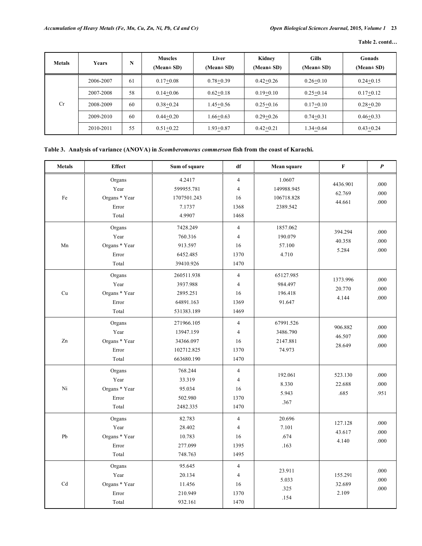**Table 2. contd…**

| <b>Metals</b> | Years     | N  | <b>Muscles</b><br>(Mean $\pm$ SD) | Liver<br>$(Mean \pm SD)$ | Kidney<br>(Mean $\pm$ SD) | <b>Gills</b><br>$(Mean \pm SD)$ | Gonads<br>$(Mean \pm SD)$ |
|---------------|-----------|----|-----------------------------------|--------------------------|---------------------------|---------------------------------|---------------------------|
| Cr            | 2006-2007 | 61 | $0.17+0.08$                       | $0.78 + 0.39$            | $0.42 + 0.26$             | $0.26 + 0.10$                   | $0.24 + 0.15$             |
|               | 2007-2008 | 58 | $0.14 + 0.06$                     | $0.62+0.18$              | $0.19 + 0.10$             | $0.25 + 0.14$                   | $0.17+0.12$               |
|               | 2008-2009 | 60 | $0.38 + 0.24$                     | $1.45 + 0.56$            | $0.25 + 0.16$             | $0.17+0.10$                     | $0.28 + 0.20$             |
|               | 2009-2010 | 60 | $0.44 + 0.20$                     | $1.66 + 0.63$            | $0.29 + 0.26$             | $0.74 + 0.31$                   | $0.46 + 0.33$             |
|               | 2010-2011 | 55 | $0.51+0.22$                       | $1.93 + 0.87$            | $0.42 + 0.21$             | $1.34 + 0.64$                   | $0.43 + 0.24$             |

# **Table 3. Analysis of variance (ANOVA) in** *Scomberomorus commerson* **fish from the coast of Karachi.**

| <b>Metals</b> | <b>Effect</b>                                     | Sum of square                                                    | df                                                     | Mean square                                    | $\mathbf F$                  | $\boldsymbol{P}$     |
|---------------|---------------------------------------------------|------------------------------------------------------------------|--------------------------------------------------------|------------------------------------------------|------------------------------|----------------------|
| Fe            | Organs<br>Year<br>Organs * Year<br>Error<br>Total | 4.2417<br>599955.781<br>1707501.243<br>7.1737<br>4.9907          | $\overline{4}$<br>$\overline{4}$<br>16<br>1368<br>1468 | 1.0607<br>149988.945<br>106718.828<br>2389.542 | 4436.901<br>62.769<br>44.661 | .000<br>.000<br>.000 |
| Mn            | Organs<br>Year<br>Organs * Year<br>Error<br>Total | 7428.249<br>760.316<br>913.597<br>6452.485<br>39410.926          | $\overline{4}$<br>$\overline{4}$<br>16<br>1370<br>1470 | 1857.062<br>190.079<br>57.100<br>4.710         | 394.294<br>40.358<br>5.284   | .000<br>.000<br>.000 |
| Cu            | Organs<br>Year<br>Organs * Year<br>Error<br>Total | 260511.938<br>3937.988<br>2895.251<br>64891.163<br>531383.189    | $\overline{4}$<br>$\overline{4}$<br>16<br>1369<br>1469 | 65127.985<br>984.497<br>196.418<br>91.647      | 1373.996<br>20.770<br>4.144  | .000<br>.000<br>.000 |
| Zn            | Organs<br>Year<br>Organs * Year<br>Error<br>Total | 271966.105<br>13947.159<br>34366.097<br>102712.825<br>663680.190 | $\overline{4}$<br>$\overline{4}$<br>16<br>1370<br>1470 | 67991.526<br>3486.790<br>2147.881<br>74.973    | 906.882<br>46.507<br>28.649  | .000<br>.000<br>.000 |
| Ni            | Organs<br>Year<br>Organs * Year<br>Error<br>Total | 768.244<br>33.319<br>95.034<br>502.980<br>2482.335               | $\overline{4}$<br>$\overline{4}$<br>16<br>1370<br>1470 | 192.061<br>8.330<br>5.943<br>.367              | 523.130<br>22.688<br>.685    | .000<br>.000<br>.951 |
| Pb            | Organs<br>Year<br>Organs * Year<br>Error<br>Total | 82.783<br>28.402<br>10.783<br>277.099<br>748.763                 | $\overline{4}$<br>$\overline{4}$<br>16<br>1395<br>1495 | 20.696<br>7.101<br>.674<br>.163                | 127.128<br>43.617<br>4.140   | .000<br>.000<br>.000 |
| Cd            | Organs<br>Year<br>Organs * Year<br>Error<br>Total | 95.645<br>20.134<br>11.456<br>210.949<br>932.161                 | $\overline{4}$<br>$\overline{4}$<br>16<br>1370<br>1470 | 23.911<br>5.033<br>.325<br>.154                | 155.291<br>32.689<br>2.109   | .000<br>.000<br>.000 |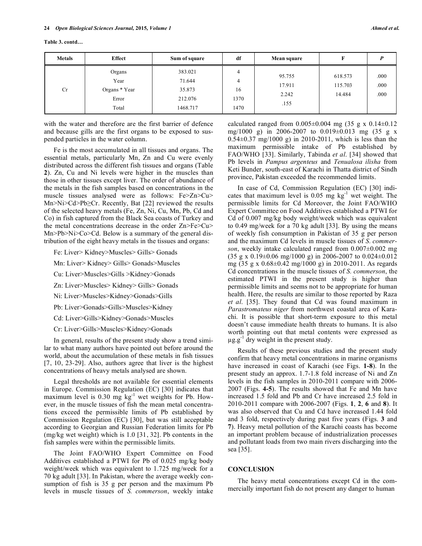| <b>Metals</b> | Effect                                            | Sum of square                                      | df                           | Mean square                       |                              |                      |
|---------------|---------------------------------------------------|----------------------------------------------------|------------------------------|-----------------------------------|------------------------------|----------------------|
| Cr            | Organs<br>Year<br>Organs * Year<br>Error<br>Total | 383.021<br>71.644<br>35.873<br>212.076<br>1468.717 | 4<br>4<br>16<br>1370<br>1470 | 95.755<br>17.911<br>2.242<br>.155 | 618.573<br>115.703<br>14.484 | .000<br>.000<br>.000 |

with the water and therefore are the first barrier of defence and because gills are the first organs to be exposed to suspended particles in the water column.

Fe is the most accumulated in all tissues and organs. The essential metals, particularly Mn, Zn and Cu were evenly distributed across the different fish tissues and organs (Table **2**). Zn, Cu and Ni levels were higher in the muscles than those in other tissues except liver. The order of abundance of the metals in the fish samples based on concentrations in the muscle tissues analysed were as follows: Fe>Zn>Cu> Mn>Ni>Cd>Pb≥Cr. Recently, Bat [22] reviewed the results of the selected heavy metals (Fe, Zn, Ni, Cu, Mn, Pb, Cd and Co) in fish captured from the Black Sea coasts of Turkey and the metal concentrations decrease in the order Zn>Fe>Cu> Mn>Pb>Ni>Co>Cd. Below is a summary of the general distribution of the eight heavy metals in the tissues and organs:

Fe: Liver> Kidney>Muscles> Gills> Gonads

Mn: Liver> Kidney> Gills> Gonads>Muscles

Cu: Liver>Muscles>Gills >Kidney>Gonads

Zn: Liver>Muscles> Kidney> Gills> Gonads

Ni: Liver>Muscles>Kidney>Gonads>Gills

Pb: Liver>Gonads>Gills>Muscles>Kidney

Cd: Liver>Gills>Kidney>Gonads>Muscles

Cr: Liver>Gills>Muscles>Kidney>Gonads

In general, results of the present study show a trend similar to what many authors have pointed out before around the world, about the accumulation of these metals in fish tissues [7, 10, 23-29]. Also, authors agree that liver is the highest concentrations of heavy metals analysed are shown.

Legal thresholds are not available for essential elements in Europe. Commission Regulation (EC) [30] indicates that maximum level is  $0.30$  mg  $\text{kg}^{-1}$  wet weights for Pb. However, in the muscle tissues of fish the mean metal concentrations exceed the permissible limits of Pb established by Commission Regulation (EC) [30], but was still acceptable according to Georgian and Russian Federation limits for Pb (mg/kg wet weight) which is 1.0 [31, 32]. Pb contents in the fish samples were within the permissible limits.

The Joint FAO/WHO Expert Committee on Food Additives established a PTWI for Pb of 0.025 mg/kg body weight/week which was equivalent to 1.725 mg/week for a 70 kg adult [33]. In Pakistan, where the average weekly consumption of fish is 35 g per person and the maximum Pb levels in muscle tissues of *S. commerson*, weekly intake calculated ranged from  $0.005 \pm 0.004$  mg (35 g x  $0.14 \pm 0.12$ ) mg/1000 g) in 2006-2007 to 0.019±0.013 mg (35 g x  $0.54\pm0.37$  mg/1000 g) in 2010-2011, which is less than the maximum permissible intake of Pb established by FAO/WHO [33]. Similarly, Tabinda *et al*. [34] showed that Pb levels in *Pampus argenteus* and *Tenualosa ilisha* from Keti Bunder, south-east of Karachi in Thatta district of Sindh province, Pakistan exceeded the recommended limits.

In case of Cd, Commission Regulation (EC) [30] indicates that maximum level is  $0.05 \text{ mg kg}^{-1}$  wet weight. The permissible limits for Cd Moreover, the Joint FAO/WHO Expert Committee on Food Additives established a PTWI for Cd of 0.007 mg/kg body weight/week which was equivalent to 0.49 mg/week for a 70 kg adult [33]. By using the means of weekly fish consumption in Pakistan of 35 g per person and the maximum Cd levels in muscle tissues of *S. commerson*, weekly intake calculated ranged from 0.007±0.002 mg  $(35 \text{ g x } 0.19 \pm 0.06 \text{ mg}/1000 \text{ g})$  in 2006-2007 to 0.024 $\pm$ 0.012 mg (35 g x 0.68±0.42 mg/1000 g) in 2010-2011. As regards Cd concentrations in the muscle tissues of *S. commerson*, the estimated PTWI in the present study is higher than permissible limits and seems not to be appropriate for human health. Here, the results are similar to those reported by Raza *et al*. [35]. They found that Cd was found maximum in *Parastromateus niger* from northwest coastal area of Karachi. It is possible that short-term exposure to this metal doesn't cause immediate health threats to humans. It is also worth pointing out that metal contents were expressed as  $\mu$ g.g<sup>-1</sup> dry weight in the present study.

Results of these previous studies and the present study confirm that heavy metal concentrations in marine organisms have increased in coast of Karachi (see Figs. **1-8**). In the present study an approx. 1.7-1.8 fold increase of Ni and Zn levels in the fish samples in 2010-2011 compare with 2006- 2007 (Figs. **4-5**). The results showed that Fe and Mn have increased 1.5 fold and Pb and Cr have increased 2.5 fold in 2010-2011 compare with 2006-2007 (Figs. **1**, **2**, **6** and **8**). It was also observed that Cu and Cd have increased 1.44 fold and 3 fold, respectively during past five years (Figs. **3** and **7**). Heavy metal pollution of the Karachi coasts has become an important problem because of industrialization processes and pollutant loads from two main rivers discharging into the sea [35].

### **CONCLUSION**

The heavy metal concentrations except Cd in the commercially important fish do not present any danger to human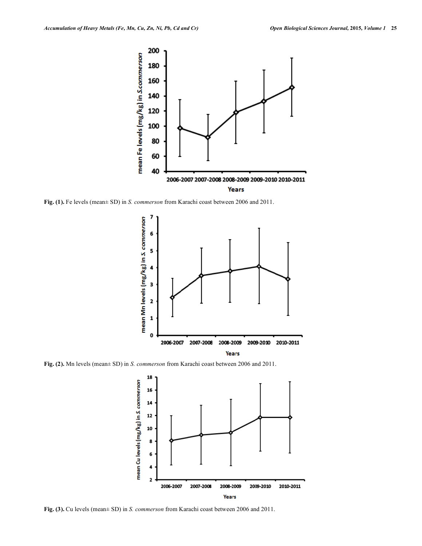

**Fig. (1).** Fe levels (mean± SD) in *S. commerson* from Karachi coast between 2006 and 2011.



**Fig. (2).** Mn levels (mean± SD) in *S. commerson* from Karachi coast between 2006 and 2011.



**Fig. (3).** Cu levels (mean± SD) in *S. commerson* from Karachi coast between 2006 and 2011.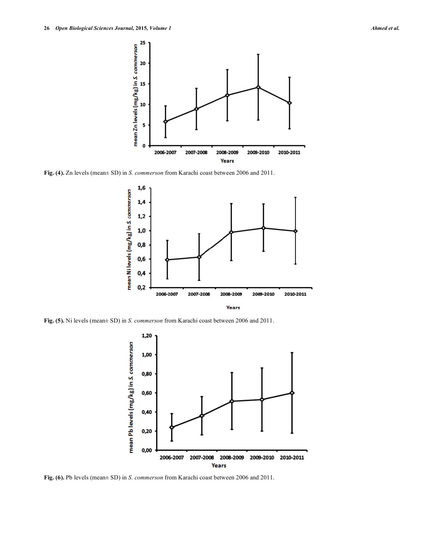

**Fig. (4).** Zn levels (mean± SD) in *S. commerson* from Karachi coast between 2006 and 2011.



**Fig. (5).** Ni levels (mean± SD) in *S. commerson* from Karachi coast between 2006 and 2011.



**Fig. (6).** Pb levels (mean± SD) in *S. commerson* from Karachi coast between 2006 and 2011.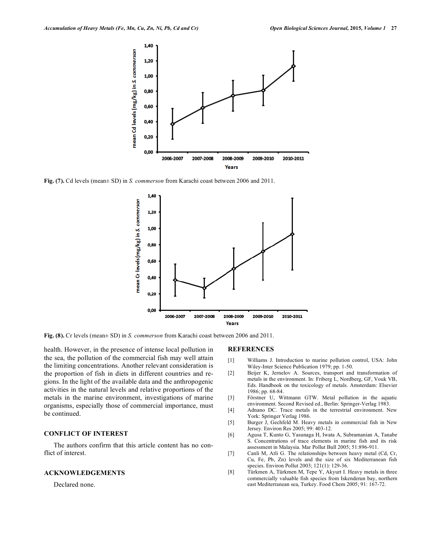

**Fig. (7).** Cd levels (mean± SD) in *S. commerson* from Karachi coast between 2006 and 2011.



**Fig. (8).** Cr levels (mean± SD) in *S. commerson* from Karachi coast between 2006 and 2011.

health. However, in the presence of intense local pollution in the sea, the pollution of the commercial fish may well attain the limiting concentrations. Another relevant consideration is the proportion of fish in diets in different countries and regions. In the light of the available data and the anthropogenic activities in the natural levels and relative proportions of the metals in the marine environment, investigations of marine organisms, especially those of commercial importance, must be continued.

# **CONFLICT OF INTEREST**

The authors confirm that this article content has no conflict of interest.

#### **ACKNOWLEDGEMENTS**

Declared none.

#### **REFERENCES**

- [1] Williams J. Introduction to marine pollution control, USA: John Wiley-Inter Science Publication 1979; pp. 1-50.
- [2] Beijer K, Jernelov A. Sources, transport and transformation of metals in the environment. In: Friberg L, Nordberg, GF, Vouk VB, Eds. Handbook on the toxicology of metals. Amsterdam: Elsevier 1986; pp. 68-84.
- [3] Förstner U, Wittmann GTW. Metal pollution in the aquatic environment. Second Revised ed., Berlin: Springer-Verlag 1983.
- [4] Adnano DC. Trace metals in the terrestrial environment. New York: Springer Verlag 1986.
- [5] Burger J, Gechfeld M. Heavy metals in commercial fish in New Jersey. Environ Res 2005; 99: 403-12.
- [6] Agusa T, Kunto G, Yasunaga H, Iwata A, Subramanian A, Tanabe S. Concentrations of trace elements in marine fish and its risk assessment in Malaysia. Mar Pollut Bull 2005; 51:896-911.
- [7] Canli M, Atli G. The relationships between heavy metal (Cd, Cr, Cu, Fe, Pb, Zn) levels and the size of six Mediterranean fish species. Environ Pollut 2003; 121(1): 129-36.
- [8] Türkmen A, Türkmen M, Tepe Y, Akyurt I. Heavy metals in three commercially valuable fish species from Iskenderun bay, northern east Mediterranean sea, Turkey. Food Chem 2005; 91: 167-72.